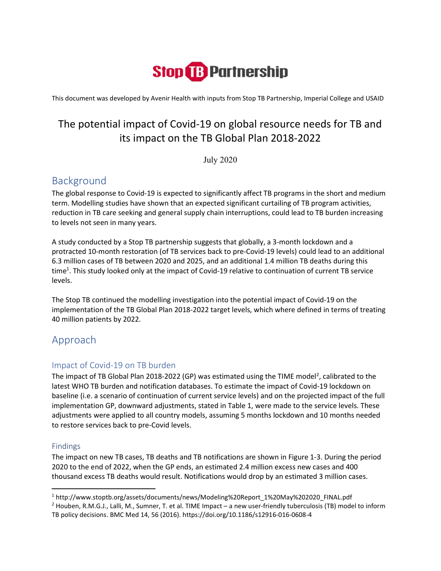# **Stop & Partnership**

This document was developed by Avenir Health with inputs from Stop TB Partnership, Imperial College and USAID

## The potential impact of Covid-19 on global resource needs for TB and its impact on the TB Global Plan 2018-2022

July 2020

## Background

The global response to Covid-19 is expected to significantly affect TB programs in the short and medium term. Modelling studies have shown that an expected significant curtailing of TB program activities, reduction in TB care seeking and general supply chain interruptions, could lead to TB burden increasing to levels not seen in many years.

A study conducted by a Stop TB partnership suggests that globally, a 3-month lockdown and a protracted 10-month restoration (of TB services back to pre-Covid-19 levels) could lead to an additional 6.3 million cases of TB between 2020 and 2025, and an additional 1.4 million TB deaths during this time<sup>1</sup>. This study looked only at the impact of Covid-19 relative to continuation of current TB service levels.

The Stop TB continued the modelling investigation into the potential impact of Covid-19 on the implementation of the TB Global Plan 2018-2022 target levels, which where defined in terms of treating 40 million patients by 2022.

## Approach

### Impact of Covid-19 on TB burden

The impact of TB Global Plan 2018-2022 (GP) was estimated using the TIME model<sup>2</sup>, calibrated to the latest WHO TB burden and notification databases. To estimate the impact of Covid-19 lockdown on baseline (i.e. a scenario of continuation of current service levels) and on the projected impact of the full implementation GP, downward adjustments, stated in Table 1, were made to the service levels. These adjustments were applied to all country models, assuming 5 months lockdown and 10 months needed to restore services back to pre-Covid levels.

#### Findings

The impact on new TB cases, TB deaths and TB notifications are shown in Figure 1-3. During the period 2020 to the end of 2022, when the GP ends, an estimated 2.4 million excess new cases and 400 thousand excess TB deaths would result. Notifications would drop by an estimated 3 million cases.

<sup>1</sup> http://www.stoptb.org/assets/documents/news/Modeling%20Report\_1%20May%202020\_FINAL.pdf

<sup>&</sup>lt;sup>2</sup> Houben, R.M.G.J., Lalli, M., Sumner, T. et al. TIME Impact – a new user-friendly tuberculosis (TB) model to inform TB policy decisions. BMC Med 14, 56 (2016). https://doi.org/10.1186/s12916-016-0608-4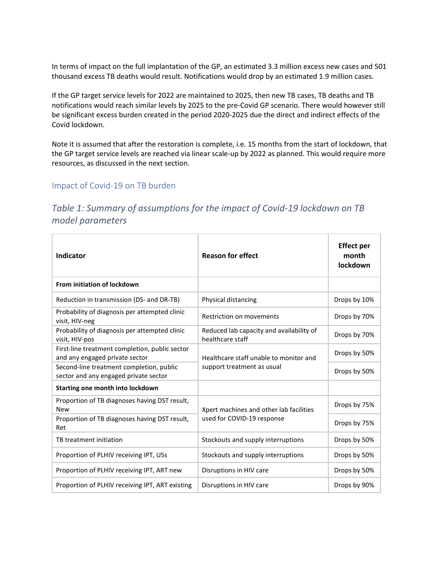In terms of impact on the full implantation of the GP, an estimated 3.3 million excess new cases and 501 thousand excess TB deaths would result. Notifications would drop by an estimated 1.9 million cases.

If the GP target service levels for 2022 are maintained to 2025, then new TB cases, TB deaths and TB notifications would reach similar levels by 2025 to the pre-Covid GP scenario. There would however still be significant excess burden created in the period 2020-2025 due the direct and indirect effects of the Covid lockdown.

Note it is assumed that after the restoration is complete, i.e. 15 months from the start of lockdown, that the GP target service levels are reached via linear scale-up by 2022 as planned. This would require more resources, as discussed in the next section.

#### Impact of Covid-19 on TB burden

## Table 1: Summary of assumptions for the impact of Covid-19 lockdown on TB model parameters

| Indicator                                                                         | <b>Reason for effect</b>                                     | <b>Effect per</b><br>month<br>lockdown |  |
|-----------------------------------------------------------------------------------|--------------------------------------------------------------|----------------------------------------|--|
| From initiation of lockdown                                                       |                                                              |                                        |  |
| Reduction in transmission (DS- and DR-TB)                                         | Physical distancing                                          | Drops by 10%                           |  |
| Probability of diagnosis per attempted clinic<br>visit, HIV-neg                   | Restriction on movements                                     | Drops by 70%                           |  |
| Probability of diagnosis per attempted clinic<br>visit, HIV-pos                   | Reduced lab capacity and availability of<br>healthcare staff | Drops by 70%                           |  |
| First-line treatment completion, public sector<br>and any engaged private sector  | Healthcare staff unable to monitor and                       | Drops by 50%                           |  |
| Second-line treatment completion, public<br>sector and any engaged private sector | support treatment as usual                                   | Drops by 50%                           |  |
| Starting one month into lockdown                                                  |                                                              |                                        |  |
| Proportion of TB diagnoses having DST result,<br><b>New</b>                       | Xpert machines and other lab facilities                      | Drops by 75%                           |  |
| Proportion of TB diagnoses having DST result,<br>Ret                              | used for COVID-19 response                                   | Drops by 75%                           |  |
| TB treatment initiation                                                           | Stockouts and supply interruptions                           | Drops by 50%                           |  |
| Proportion of PLHIV receiving IPT, U5s                                            | Stockouts and supply interruptions                           | Drops by 50%                           |  |
| Proportion of PLHIV receiving IPT, ART new                                        | Disruptions in HIV care                                      | Drops by 50%                           |  |
| Proportion of PLHIV receiving IPT, ART existing                                   | Disruptions in HIV care                                      | Drops by 90%                           |  |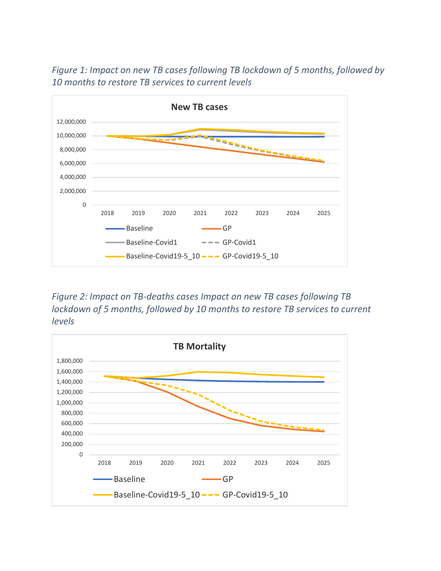

Figure 1: Impact on new TB cases following TB lockdown of 5 months, followed by 10 months to restore TB services to current levels

Figure 2: Impact on TB-deaths cases Impact on new TB cases following TB lockdown of 5 months, followed by 10 months to restore TB services to current levels

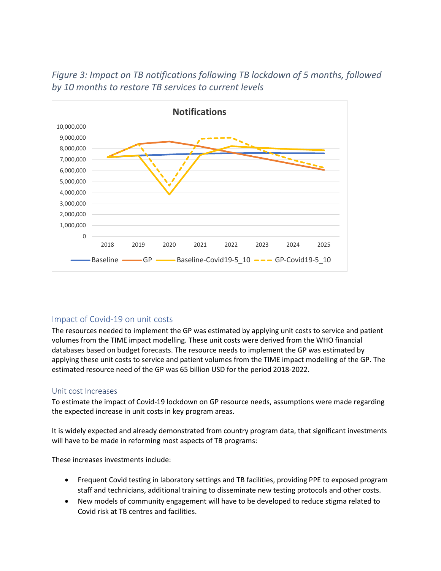

Figure 3: Impact on TB notifications following TB lockdown of 5 months, followed by 10 months to restore TB services to current levels

#### Impact of Covid-19 on unit costs

The resources needed to implement the GP was estimated by applying unit costs to service and patient volumes from the TIME impact modelling. These unit costs were derived from the WHO financial databases based on budget forecasts. The resource needs to implement the GP was estimated by applying these unit costs to service and patient volumes from the TIME impact modelling of the GP. The estimated resource need of the GP was 65 billion USD for the period 2018-2022.

#### Unit cost Increases

To estimate the impact of Covid-19 lockdown on GP resource needs, assumptions were made regarding the expected increase in unit costs in key program areas.

It is widely expected and already demonstrated from country program data, that significant investments will have to be made in reforming most aspects of TB programs:

These increases investments include:

- Frequent Covid testing in laboratory settings and TB facilities, providing PPE to exposed program staff and technicians, additional training to disseminate new testing protocols and other costs.
- New models of community engagement will have to be developed to reduce stigma related to Covid risk at TB centres and facilities.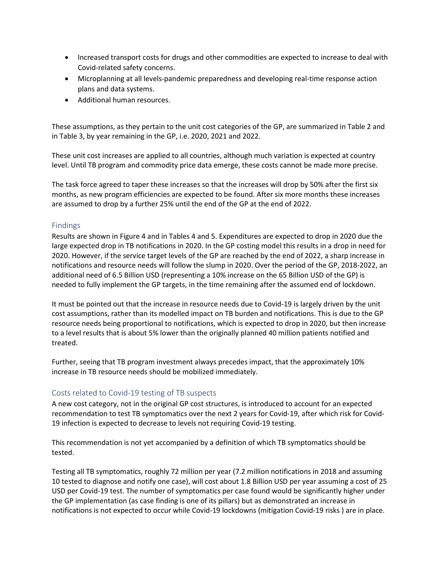- Increased transport costs for drugs and other commodities are expected to increase to deal with Covid-related safety concerns.
- Microplanning at all levels-pandemic preparedness and developing real-time response action plans and data systems.
- Additional human resources.

These assumptions, as they pertain to the unit cost categories of the GP, are summarized in Table 2 and in Table 3, by year remaining in the GP, i.e. 2020, 2021 and 2022.

These unit cost increases are applied to all countries, although much variation is expected at country level. Until TB program and commodity price data emerge, these costs cannot be made more precise.

The task force agreed to taper these increases so that the increases will drop by 50% after the first six months, as new program efficiencies are expected to be found. After six more months these increases are assumed to drop by a further 25% until the end of the GP at the end of 2022.

#### Findings

Results are shown in Figure 4 and in Tables 4 and 5. Expenditures are expected to drop in 2020 due the large expected drop in TB notifications in 2020. In the GP costing model this results in a drop in need for 2020. However, if the service target levels of the GP are reached by the end of 2022, a sharp increase in notifications and resource needs will follow the slump in 2020. Over the period of the GP, 2018-2022, an additional need of 6.5 Billion USD (representing a 10% increase on the 65 Billion USD of the GP) is needed to fully implement the GP targets, in the time remaining after the assumed end of lockdown.

It must be pointed out that the increase in resource needs due to Covid-19 is largely driven by the unit cost assumptions, rather than its modelled impact on TB burden and notifications. This is due to the GP resource needs being proportional to notifications, which is expected to drop in 2020, but then increase to a level results that is about 5% lower than the originally planned 40 million patients notified and treated.

Further, seeing that TB program investment always precedes impact, that the approximately 10% increase in TB resource needs should be mobilized immediately.

#### Costs related to Covid-19 testing of TB suspects

A new cost category, not in the original GP cost structures, is introduced to account for an expected recommendation to test TB symptomatics over the next 2 years for Covid-19, after which risk for Covid-19 infection is expected to decrease to levels not requiring Covid-19 testing.

This recommendation is not yet accompanied by a definition of which TB symptomatics should be tested.

Testing all TB symptomatics, roughly 72 million per year (7.2 million notifications in 2018 and assuming 10 tested to diagnose and notify one case), will cost about 1.8 Billion USD per year assuming a cost of 25 USD per Covid-19 test. The number of symptomatics per case found would be significantly higher under the GP implementation (as case finding is one of its pillars) but as demonstrated an increase in notifications is not expected to occur while Covid-19 lockdowns (mitigation Covid-19 risks ) are in place.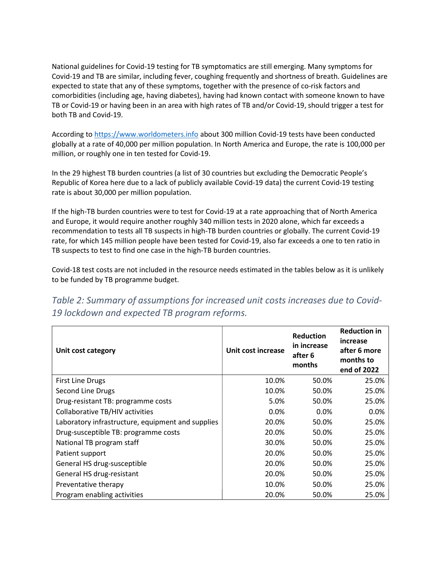National guidelines for Covid-19 testing for TB symptomatics are still emerging. Many symptoms for Covid-19 and TB are similar, including fever, coughing frequently and shortness of breath. Guidelines are expected to state that any of these symptoms, together with the presence of co-risk factors and comorbidities (including age, having diabetes), having had known contact with someone known to have TB or Covid-19 or having been in an area with high rates of TB and/or Covid-19, should trigger a test for both TB and Covid-19.

According to https://www.worldometers.info about 300 million Covid-19 tests have been conducted globally at a rate of 40,000 per million population. In North America and Europe, the rate is 100,000 per million, or roughly one in ten tested for Covid-19.

In the 29 highest TB burden countries (a list of 30 countries but excluding the Democratic People's Republic of Korea here due to a lack of publicly available Covid-19 data) the current Covid-19 testing rate is about 30,000 per million population.

If the high-TB burden countries were to test for Covid-19 at a rate approaching that of North America and Europe, it would require another roughly 340 million tests in 2020 alone, which far exceeds a recommendation to tests all TB suspects in high-TB burden countries or globally. The current Covid-19 rate, for which 145 million people have been tested for Covid-19, also far exceeds a one to ten ratio in TB suspects to test to find one case in the high-TB burden countries.

Covid-18 test costs are not included in the resource needs estimated in the tables below as it is unlikely to be funded by TB programme budget.

Table 2: Summary of assumptions for increased unit costs increases due to Covid-19 lockdown and expected TB program reforms.

| Unit cost category                                | Unit cost increase | <b>Reduction</b><br>in increase<br>after 6<br>months | <b>Reduction in</b><br>increase<br>after 6 more<br>months to<br>end of 2022 |  |
|---------------------------------------------------|--------------------|------------------------------------------------------|-----------------------------------------------------------------------------|--|
| <b>First Line Drugs</b>                           | 10.0%              | 50.0%                                                | 25.0%                                                                       |  |
| Second Line Drugs                                 | 10.0%              | 50.0%                                                | 25.0%                                                                       |  |
| Drug-resistant TB: programme costs                | 5.0%               | 50.0%                                                | 25.0%                                                                       |  |
| Collaborative TB/HIV activities                   | $0.0\%$            | $0.0\%$                                              | $0.0\%$                                                                     |  |
| Laboratory infrastructure, equipment and supplies | 20.0%              | 50.0%                                                | 25.0%                                                                       |  |
| Drug-susceptible TB: programme costs              | 20.0%              | 50.0%                                                | 25.0%                                                                       |  |
| National TB program staff                         | 30.0%              | 50.0%                                                | 25.0%                                                                       |  |
| Patient support                                   | 20.0%              | 50.0%                                                | 25.0%                                                                       |  |
| General HS drug-susceptible                       | 20.0%              | 50.0%                                                | 25.0%                                                                       |  |
| General HS drug-resistant                         | 20.0%              | 50.0%                                                | 25.0%                                                                       |  |
| Preventative therapy                              | 10.0%              | 50.0%                                                | 25.0%                                                                       |  |
| Program enabling activities                       | 20.0%              | 50.0%                                                | 25.0%                                                                       |  |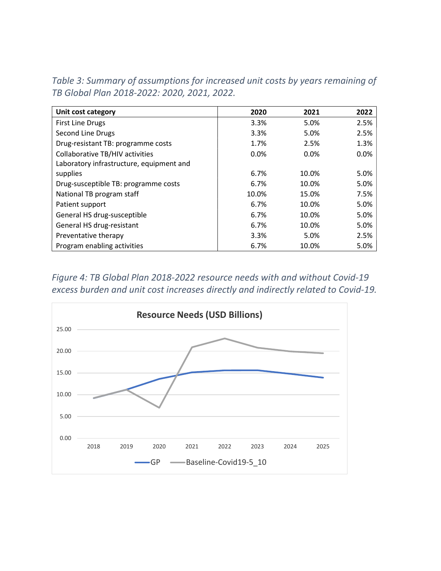| Unit cost category                       | 2020  | 2021  | 2022 |
|------------------------------------------|-------|-------|------|
| <b>First Line Drugs</b>                  | 3.3%  | 5.0%  | 2.5% |
| Second Line Drugs                        | 3.3%  | 5.0%  | 2.5% |
| Drug-resistant TB: programme costs       | 1.7%  | 2.5%  | 1.3% |
| Collaborative TB/HIV activities          | 0.0%  | 0.0%  | 0.0% |
| Laboratory infrastructure, equipment and |       |       |      |
| supplies                                 | 6.7%  | 10.0% | 5.0% |
| Drug-susceptible TB: programme costs     | 6.7%  | 10.0% | 5.0% |
| National TB program staff                | 10.0% | 15.0% | 7.5% |
| Patient support                          | 6.7%  | 10.0% | 5.0% |
| General HS drug-susceptible              | 6.7%  | 10.0% | 5.0% |
| General HS drug-resistant                | 6.7%  | 10.0% | 5.0% |
| Preventative therapy                     | 3.3%  | 5.0%  | 2.5% |
| Program enabling activities              | 6.7%  | 10.0% | 5.0% |

Table 3: Summary of assumptions for increased unit costs by years remaining of TB Global Plan 2018-2022: 2020, 2021, 2022.

Figure 4: TB Global Plan 2018-2022 resource needs with and without Covid-19 excess burden and unit cost increases directly and indirectly related to Covid-19.

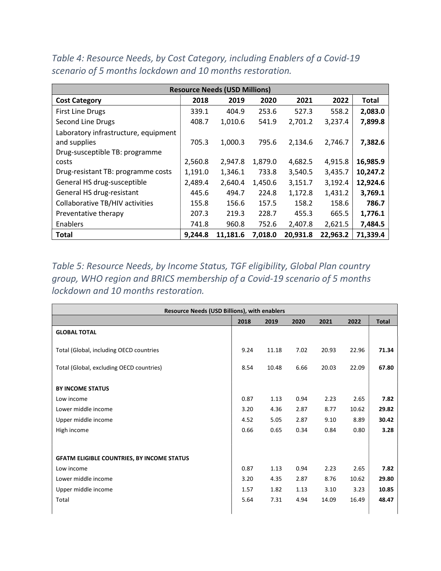|                                      |         | <b>Resource Needs (USD Millions)</b> |         |          |          |          |
|--------------------------------------|---------|--------------------------------------|---------|----------|----------|----------|
| <b>Cost Category</b>                 | 2018    | 2019                                 | 2020    | 2021     | 2022     | Total    |
| <b>First Line Drugs</b>              | 339.1   | 404.9                                | 253.6   | 527.3    | 558.2    | 2,083.0  |
| Second Line Drugs                    | 408.7   | 1,010.6                              | 541.9   | 2,701.2  | 3,237.4  | 7,899.8  |
| Laboratory infrastructure, equipment |         |                                      |         |          |          |          |
| and supplies                         | 705.3   | 1,000.3                              | 795.6   | 2,134.6  | 2,746.7  | 7,382.6  |
| Drug-susceptible TB: programme       |         |                                      |         |          |          |          |
| costs                                | 2,560.8 | 2,947.8                              | 1,879.0 | 4,682.5  | 4,915.8  | 16,985.9 |
| Drug-resistant TB: programme costs   | 1,191.0 | 1,346.1                              | 733.8   | 3,540.5  | 3,435.7  | 10,247.2 |
| General HS drug-susceptible          | 2,489.4 | 2,640.4                              | 1,450.6 | 3,151.7  | 3,192.4  | 12,924.6 |
| General HS drug-resistant            | 445.6   | 494.7                                | 224.8   | 1,172.8  | 1,431.2  | 3,769.1  |
| Collaborative TB/HIV activities      | 155.8   | 156.6                                | 157.5   | 158.2    | 158.6    | 786.7    |
| Preventative therapy                 | 207.3   | 219.3                                | 228.7   | 455.3    | 665.5    | 1,776.1  |
| Enablers                             | 741.8   | 960.8                                | 752.6   | 2,407.8  | 2,621.5  | 7,484.5  |
| <b>Total</b>                         | 9,244.8 | 11,181.6                             | 7,018.0 | 20,931.8 | 22,963.2 | 71,339.4 |

Table 4: Resource Needs, by Cost Category, including Enablers of a Covid-19 scenario of 5 months lockdown and 10 months restoration.

Table 5: Resource Needs, by Income Status, TGF eligibility, Global Plan country group, WHO region and BRICS membership of a Covid-19 scenario of 5 months lockdown and 10 months restoration.

| <b>Resource Needs (USD Billions), with enablers</b> |      |       |      |       |       |              |
|-----------------------------------------------------|------|-------|------|-------|-------|--------------|
|                                                     | 2018 | 2019  | 2020 | 2021  | 2022  | <b>Total</b> |
| <b>GLOBAL TOTAL</b>                                 |      |       |      |       |       |              |
| Total (Global, including OECD countries             | 9.24 | 11.18 | 7.02 | 20.93 | 22.96 | 71.34        |
| Total (Global, excluding OECD countries)            | 8.54 | 10.48 | 6.66 | 20.03 | 22.09 | 67.80        |
| <b>BY INCOME STATUS</b>                             |      |       |      |       |       |              |
| Low income                                          | 0.87 | 1.13  | 0.94 | 2.23  | 2.65  | 7.82         |
| Lower middle income                                 | 3.20 | 4.36  | 2.87 | 8.77  | 10.62 | 29.82        |
| Upper middle income                                 | 4.52 | 5.05  | 2.87 | 9.10  | 8.89  | 30.42        |
| High income                                         | 0.66 | 0.65  | 0.34 | 0.84  | 0.80  | 3.28         |
|                                                     |      |       |      |       |       |              |
| <b>GFATM ELIGIBLE COUNTRIES, BY INCOME STATUS</b>   |      |       |      |       |       |              |
| Low income                                          | 0.87 | 1.13  | 0.94 | 2.23  | 2.65  | 7.82         |
| Lower middle income                                 | 3.20 | 4.35  | 2.87 | 8.76  | 10.62 | 29.80        |
| Upper middle income                                 | 1.57 | 1.82  | 1.13 | 3.10  | 3.23  | 10.85        |
| Total                                               | 5.64 | 7.31  | 4.94 | 14.09 | 16.49 | 48.47        |
|                                                     |      |       |      |       |       |              |